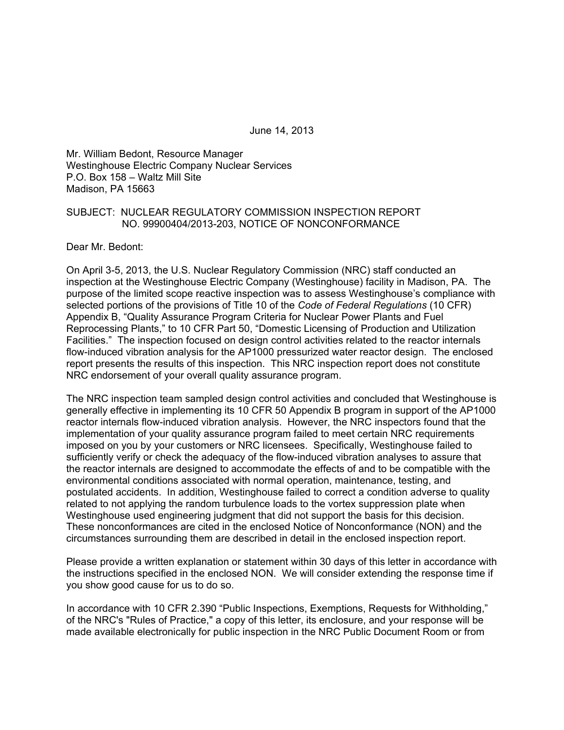June 14, 2013

Mr. William Bedont, Resource Manager Westinghouse Electric Company Nuclear Services P.O. Box 158 – Waltz Mill Site Madison, PA 15663

#### SUBJECT: NUCLEAR REGULATORY COMMISSION INSPECTION REPORT NO. 99900404/2013-203, NOTICE OF NONCONFORMANCE

Dear Mr. Bedont:

On April 3-5, 2013, the U.S. Nuclear Regulatory Commission (NRC) staff conducted an inspection at the Westinghouse Electric Company (Westinghouse) facility in Madison, PA. The purpose of the limited scope reactive inspection was to assess Westinghouse's compliance with selected portions of the provisions of Title 10 of the *Code of Federal Regulations* (10 CFR) Appendix B, "Quality Assurance Program Criteria for Nuclear Power Plants and Fuel Reprocessing Plants," to 10 CFR Part 50, "Domestic Licensing of Production and Utilization Facilities." The inspection focused on design control activities related to the reactor internals flow-induced vibration analysis for the AP1000 pressurized water reactor design. The enclosed report presents the results of this inspection. This NRC inspection report does not constitute NRC endorsement of your overall quality assurance program.

The NRC inspection team sampled design control activities and concluded that Westinghouse is generally effective in implementing its 10 CFR 50 Appendix B program in support of the AP1000 reactor internals flow-induced vibration analysis. However, the NRC inspectors found that the implementation of your quality assurance program failed to meet certain NRC requirements imposed on you by your customers or NRC licensees. Specifically, Westinghouse failed to sufficiently verify or check the adequacy of the flow-induced vibration analyses to assure that the reactor internals are designed to accommodate the effects of and to be compatible with the environmental conditions associated with normal operation, maintenance, testing, and postulated accidents. In addition, Westinghouse failed to correct a condition adverse to quality related to not applying the random turbulence loads to the vortex suppression plate when Westinghouse used engineering judgment that did not support the basis for this decision. These nonconformances are cited in the enclosed Notice of Nonconformance (NON) and the circumstances surrounding them are described in detail in the enclosed inspection report.

Please provide a written explanation or statement within 30 days of this letter in accordance with the instructions specified in the enclosed NON. We will consider extending the response time if you show good cause for us to do so.

In accordance with 10 CFR 2.390 "Public Inspections, Exemptions, Requests for Withholding," of the NRC's "Rules of Practice," a copy of this letter, its enclosure, and your response will be made available electronically for public inspection in the NRC Public Document Room or from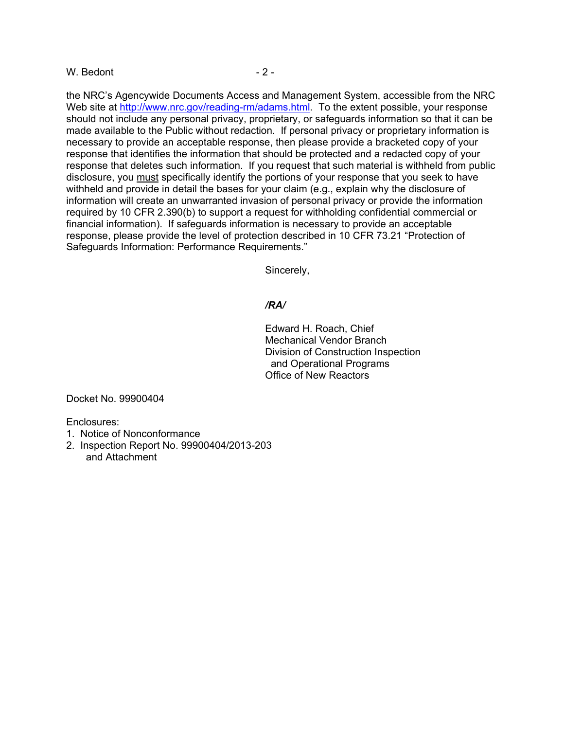#### $W.$  Bedont  $-2 -$

the NRC's Agencywide Documents Access and Management System, accessible from the NRC Web site at http://www.nrc.gov/reading-rm/adams.html. To the extent possible, your response should not include any personal privacy, proprietary, or safeguards information so that it can be made available to the Public without redaction. If personal privacy or proprietary information is necessary to provide an acceptable response, then please provide a bracketed copy of your response that identifies the information that should be protected and a redacted copy of your response that deletes such information. If you request that such material is withheld from public disclosure, you must specifically identify the portions of your response that you seek to have withheld and provide in detail the bases for your claim (e.g., explain why the disclosure of information will create an unwarranted invasion of personal privacy or provide the information required by 10 CFR 2.390(b) to support a request for withholding confidential commercial or financial information). If safeguards information is necessary to provide an acceptable response, please provide the level of protection described in 10 CFR 73.21 "Protection of Safeguards Information: Performance Requirements."

Sincerely,

#### */RA/*

Edward H. Roach, Chief Mechanical Vendor Branch Division of Construction Inspection and Operational Programs Office of New Reactors

Docket No. 99900404

Enclosures:

- 1. Notice of Nonconformance
- 2. Inspection Report No. 99900404/2013-203 and Attachment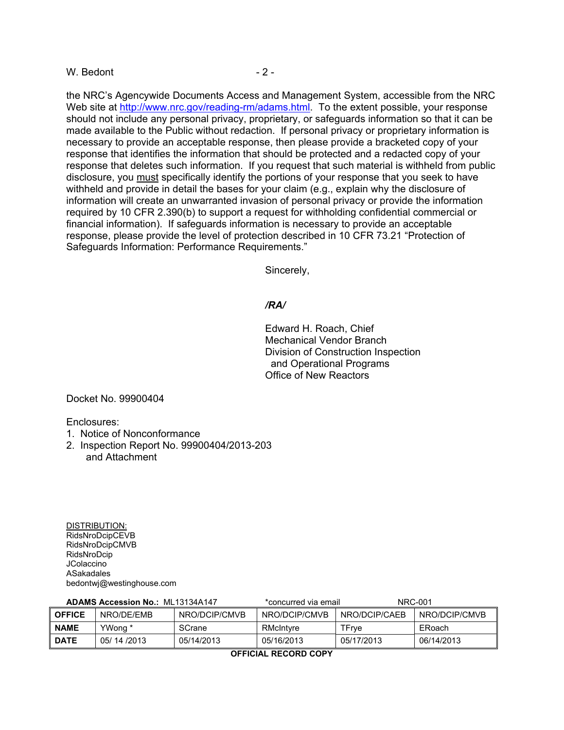#### $W.$  Bedont  $-2$  -

the NRC's Agencywide Documents Access and Management System, accessible from the NRC Web site at http://www.nrc.gov/reading-rm/adams.html. To the extent possible, your response should not include any personal privacy, proprietary, or safeguards information so that it can be made available to the Public without redaction. If personal privacy or proprietary information is necessary to provide an acceptable response, then please provide a bracketed copy of your response that identifies the information that should be protected and a redacted copy of your response that deletes such information. If you request that such material is withheld from public disclosure, you must specifically identify the portions of your response that you seek to have withheld and provide in detail the bases for your claim (e.g., explain why the disclosure of information will create an unwarranted invasion of personal privacy or provide the information required by 10 CFR 2.390(b) to support a request for withholding confidential commercial or financial information). If safeguards information is necessary to provide an acceptable response, please provide the level of protection described in 10 CFR 73.21 "Protection of Safeguards Information: Performance Requirements."

Sincerely,

#### */RA/*

Edward H. Roach, Chief Mechanical Vendor Branch Division of Construction Inspection and Operational Programs Office of New Reactors

Docket No. 99900404

Enclosures:

- 1. Notice of Nonconformance
- 2. Inspection Report No. 99900404/2013-203 and Attachment

DISTRIBUTION: RidsNroDcipCEVB RidsNroDcipCMVB RidsNroDcip **JColaccino** ASakadales bedontwj@westinghouse.com

| <b>ADAMS Accession No.: ML13134A147</b> |            | *concurred via email |               | <b>NRC-001</b> |               |
|-----------------------------------------|------------|----------------------|---------------|----------------|---------------|
| <b>OFFICE</b>                           | NRO/DF/FMB | NRO/DCIP/CMVB        | NRO/DCIP/CMVB | NRO/DCIP/CAFB  | NRO/DCIP/CMVB |
| <b>NAME</b>                             | YWong *    | SCrane               | RMcIntyre     | TFrve          | ERoach        |
| <b>DATE</b>                             | 05/14/2013 | 05/14/2013           | 05/16/2013    | 05/17/2013     | 06/14/2013    |
|                                         |            |                      |               |                |               |

**OFFICIAL RECORD COPY**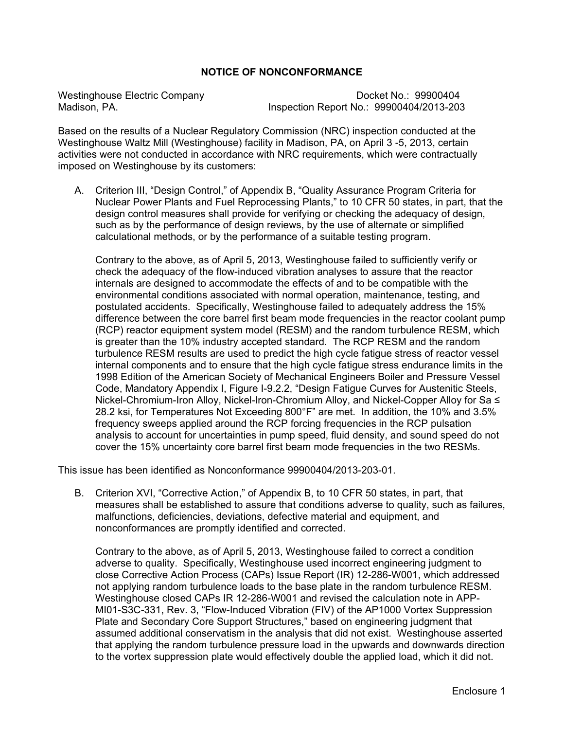### **NOTICE OF NONCONFORMANCE**

Westinghouse Electric Company Docket No.: 99900404 Inspection Report No.: 99900404/2013-203

Based on the results of a Nuclear Regulatory Commission (NRC) inspection conducted at the Westinghouse Waltz Mill (Westinghouse) facility in Madison, PA, on April 3 -5, 2013, certain activities were not conducted in accordance with NRC requirements, which were contractually imposed on Westinghouse by its customers:

A. Criterion III, "Design Control," of Appendix B, "Quality Assurance Program Criteria for Nuclear Power Plants and Fuel Reprocessing Plants," to 10 CFR 50 states, in part, that the design control measures shall provide for verifying or checking the adequacy of design, such as by the performance of design reviews, by the use of alternate or simplified calculational methods, or by the performance of a suitable testing program.

 Contrary to the above, as of April 5, 2013, Westinghouse failed to sufficiently verify or check the adequacy of the flow-induced vibration analyses to assure that the reactor internals are designed to accommodate the effects of and to be compatible with the environmental conditions associated with normal operation, maintenance, testing, and postulated accidents. Specifically, Westinghouse failed to adequately address the 15% difference between the core barrel first beam mode frequencies in the reactor coolant pump (RCP) reactor equipment system model (RESM) and the random turbulence RESM, which is greater than the 10% industry accepted standard. The RCP RESM and the random turbulence RESM results are used to predict the high cycle fatigue stress of reactor vessel internal components and to ensure that the high cycle fatigue stress endurance limits in the 1998 Edition of the American Society of Mechanical Engineers Boiler and Pressure Vessel Code, Mandatory Appendix I, Figure I-9.2.2, "Design Fatigue Curves for Austenitic Steels, Nickel-Chromium-Iron Alloy, Nickel-Iron-Chromium Alloy, and Nickel-Copper Alloy for Sa ≤ 28.2 ksi, for Temperatures Not Exceeding 800°F" are met. In addition, the 10% and 3.5% frequency sweeps applied around the RCP forcing frequencies in the RCP pulsation analysis to account for uncertainties in pump speed, fluid density, and sound speed do not cover the 15% uncertainty core barrel first beam mode frequencies in the two RESMs.

This issue has been identified as Nonconformance 99900404/2013-203-01.

B. Criterion XVI, "Corrective Action," of Appendix B, to 10 CFR 50 states, in part, that measures shall be established to assure that conditions adverse to quality, such as failures, malfunctions, deficiencies, deviations, defective material and equipment, and nonconformances are promptly identified and corrected.

 Contrary to the above, as of April 5, 2013, Westinghouse failed to correct a condition adverse to quality. Specifically, Westinghouse used incorrect engineering judgment to close Corrective Action Process (CAPs) Issue Report (IR) 12-286-W001, which addressed not applying random turbulence loads to the base plate in the random turbulence RESM. Westinghouse closed CAPs IR 12-286-W001 and revised the calculation note in APP-MI01-S3C-331, Rev. 3, "Flow-Induced Vibration (FIV) of the AP1000 Vortex Suppression Plate and Secondary Core Support Structures," based on engineering judgment that assumed additional conservatism in the analysis that did not exist. Westinghouse asserted that applying the random turbulence pressure load in the upwards and downwards direction to the vortex suppression plate would effectively double the applied load, which it did not.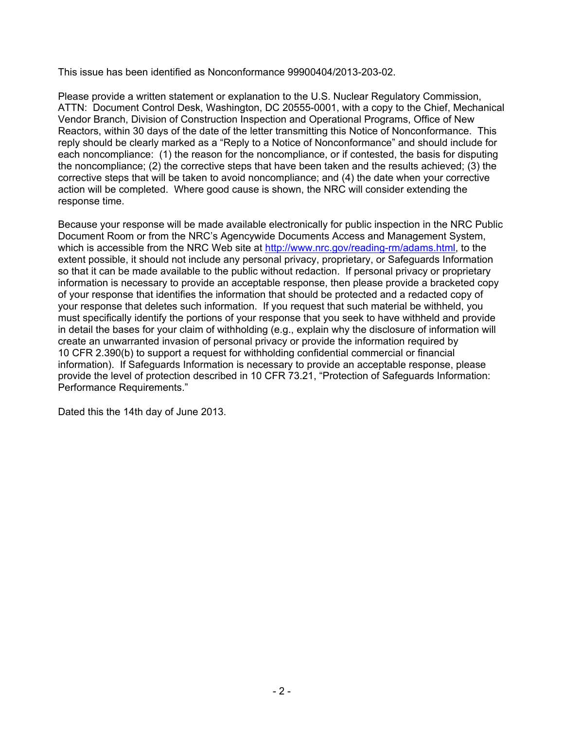This issue has been identified as Nonconformance 99900404/2013-203-02.

Please provide a written statement or explanation to the U.S. Nuclear Regulatory Commission, ATTN: Document Control Desk, Washington, DC 20555-0001, with a copy to the Chief, Mechanical Vendor Branch, Division of Construction Inspection and Operational Programs, Office of New Reactors, within 30 days of the date of the letter transmitting this Notice of Nonconformance. This reply should be clearly marked as a "Reply to a Notice of Nonconformance" and should include for each noncompliance: (1) the reason for the noncompliance, or if contested, the basis for disputing the noncompliance; (2) the corrective steps that have been taken and the results achieved; (3) the corrective steps that will be taken to avoid noncompliance; and (4) the date when your corrective action will be completed. Where good cause is shown, the NRC will consider extending the response time.

Because your response will be made available electronically for public inspection in the NRC Public Document Room or from the NRC's Agencywide Documents Access and Management System, which is accessible from the NRC Web site at http://www.nrc.gov/reading-rm/adams.html, to the extent possible, it should not include any personal privacy, proprietary, or Safeguards Information so that it can be made available to the public without redaction. If personal privacy or proprietary information is necessary to provide an acceptable response, then please provide a bracketed copy of your response that identifies the information that should be protected and a redacted copy of your response that deletes such information. If you request that such material be withheld, you must specifically identify the portions of your response that you seek to have withheld and provide in detail the bases for your claim of withholding (e.g., explain why the disclosure of information will create an unwarranted invasion of personal privacy or provide the information required by 10 CFR 2.390(b) to support a request for withholding confidential commercial or financial information). If Safeguards Information is necessary to provide an acceptable response, please provide the level of protection described in 10 CFR 73.21, "Protection of Safeguards Information: Performance Requirements."

Dated this the 14th day of June 2013.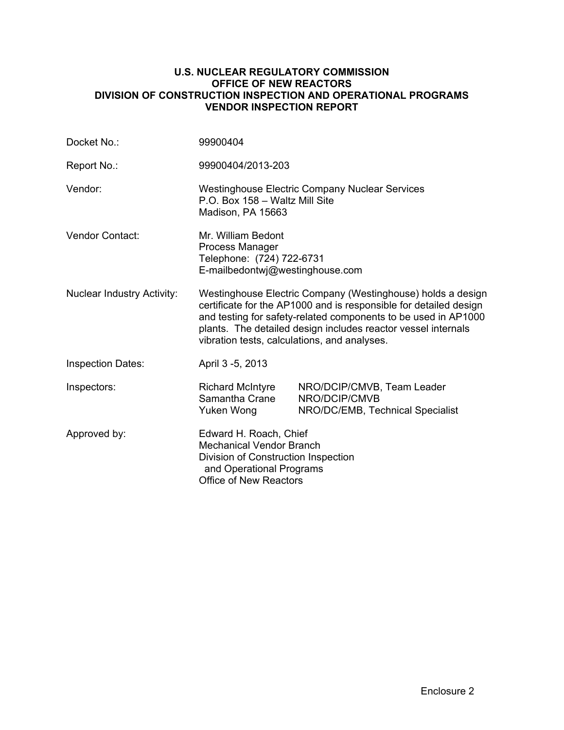#### **U.S. NUCLEAR REGULATORY COMMISSION OFFICE OF NEW REACTORS DIVISION OF CONSTRUCTION INSPECTION AND OPERATIONAL PROGRAMS VENDOR INSPECTION REPORT**

| Docket No.:                       | 99900404                                                                                                                                                                                                                                                                                                            |                                                                                 |  |
|-----------------------------------|---------------------------------------------------------------------------------------------------------------------------------------------------------------------------------------------------------------------------------------------------------------------------------------------------------------------|---------------------------------------------------------------------------------|--|
| Report No.:                       | 99900404/2013-203                                                                                                                                                                                                                                                                                                   |                                                                                 |  |
| Vendor:                           | <b>Westinghouse Electric Company Nuclear Services</b><br>P.O. Box 158 - Waltz Mill Site<br>Madison, PA 15663                                                                                                                                                                                                        |                                                                                 |  |
| Vendor Contact:                   | Mr. William Bedont<br>Process Manager<br>Telephone: (724) 722-6731<br>E-mailbedontwj@westinghouse.com                                                                                                                                                                                                               |                                                                                 |  |
| <b>Nuclear Industry Activity:</b> | Westinghouse Electric Company (Westinghouse) holds a design<br>certificate for the AP1000 and is responsible for detailed design<br>and testing for safety-related components to be used in AP1000<br>plants. The detailed design includes reactor vessel internals<br>vibration tests, calculations, and analyses. |                                                                                 |  |
| <b>Inspection Dates:</b>          | April 3 -5, 2013                                                                                                                                                                                                                                                                                                    |                                                                                 |  |
| Inspectors:                       | <b>Richard McIntyre</b><br>Samantha Crane<br>Yuken Wong                                                                                                                                                                                                                                                             | NRO/DCIP/CMVB, Team Leader<br>NRO/DCIP/CMVB<br>NRO/DC/EMB, Technical Specialist |  |
| Approved by:                      | Edward H. Roach, Chief<br><b>Mechanical Vendor Branch</b><br>Division of Construction Inspection<br>and Operational Programs<br>Office of New Reactors                                                                                                                                                              |                                                                                 |  |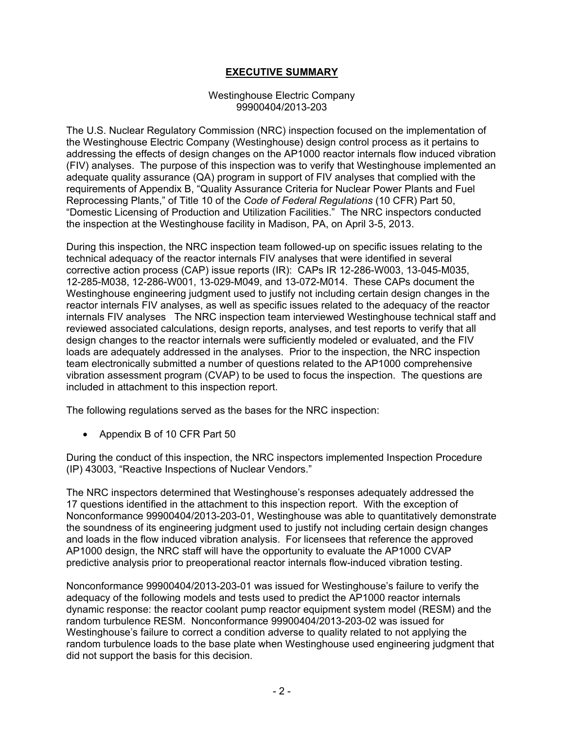### **EXECUTIVE SUMMARY**

#### Westinghouse Electric Company 99900404/2013-203

The U.S. Nuclear Regulatory Commission (NRC) inspection focused on the implementation of the Westinghouse Electric Company (Westinghouse) design control process as it pertains to addressing the effects of design changes on the AP1000 reactor internals flow induced vibration (FIV) analyses. The purpose of this inspection was to verify that Westinghouse implemented an adequate quality assurance (QA) program in support of FIV analyses that complied with the requirements of Appendix B, "Quality Assurance Criteria for Nuclear Power Plants and Fuel Reprocessing Plants," of Title 10 of the *Code of Federal Regulations* (10 CFR) Part 50, "Domestic Licensing of Production and Utilization Facilities." The NRC inspectors conducted the inspection at the Westinghouse facility in Madison, PA, on April 3-5, 2013.

During this inspection, the NRC inspection team followed-up on specific issues relating to the technical adequacy of the reactor internals FIV analyses that were identified in several corrective action process (CAP) issue reports (IR): CAPs IR 12-286-W003, 13-045-M035, 12-285-M038, 12-286-W001, 13-029-M049, and 13-072-M014. These CAPs document the Westinghouse engineering judgment used to justify not including certain design changes in the reactor internals FIV analyses, as well as specific issues related to the adequacy of the reactor internals FIV analyses The NRC inspection team interviewed Westinghouse technical staff and reviewed associated calculations, design reports, analyses, and test reports to verify that all design changes to the reactor internals were sufficiently modeled or evaluated, and the FIV loads are adequately addressed in the analyses. Prior to the inspection, the NRC inspection team electronically submitted a number of questions related to the AP1000 comprehensive vibration assessment program (CVAP) to be used to focus the inspection. The questions are included in attachment to this inspection report.

The following regulations served as the bases for the NRC inspection:

• Appendix B of 10 CFR Part 50

During the conduct of this inspection, the NRC inspectors implemented Inspection Procedure (IP) 43003, "Reactive Inspections of Nuclear Vendors."

The NRC inspectors determined that Westinghouse's responses adequately addressed the 17 questions identified in the attachment to this inspection report. With the exception of Nonconformance 99900404/2013-203-01, Westinghouse was able to quantitatively demonstrate the soundness of its engineering judgment used to justify not including certain design changes and loads in the flow induced vibration analysis. For licensees that reference the approved AP1000 design, the NRC staff will have the opportunity to evaluate the AP1000 CVAP predictive analysis prior to preoperational reactor internals flow-induced vibration testing.

Nonconformance 99900404/2013-203-01 was issued for Westinghouse's failure to verify the adequacy of the following models and tests used to predict the AP1000 reactor internals dynamic response: the reactor coolant pump reactor equipment system model (RESM) and the random turbulence RESM. Nonconformance 99900404/2013-203-02 was issued for Westinghouse's failure to correct a condition adverse to quality related to not applying the random turbulence loads to the base plate when Westinghouse used engineering judgment that did not support the basis for this decision.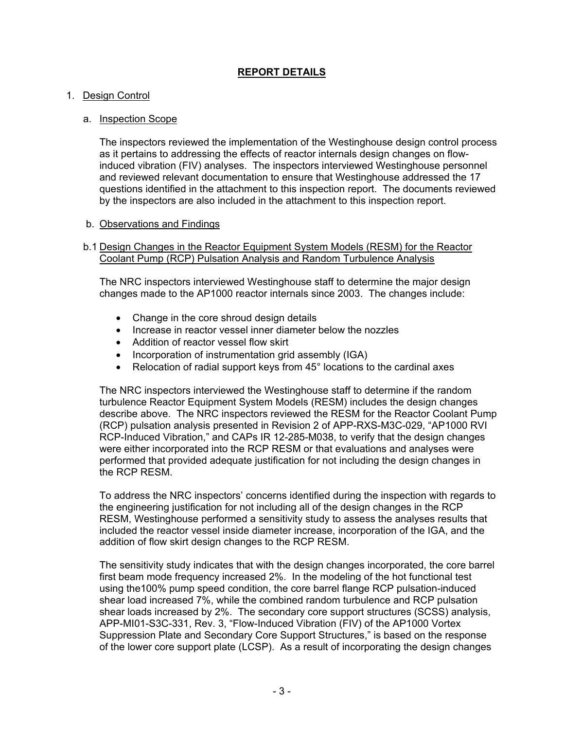# **REPORT DETAILS**

#### 1. Design Control

#### a. Inspection Scope

The inspectors reviewed the implementation of the Westinghouse design control process as it pertains to addressing the effects of reactor internals design changes on flowinduced vibration (FIV) analyses. The inspectors interviewed Westinghouse personnel and reviewed relevant documentation to ensure that Westinghouse addressed the 17 questions identified in the attachment to this inspection report. The documents reviewed by the inspectors are also included in the attachment to this inspection report.

#### b. Observations and Findings

#### b.1 Design Changes in the Reactor Equipment System Models (RESM) for the Reactor Coolant Pump (RCP) Pulsation Analysis and Random Turbulence Analysis

The NRC inspectors interviewed Westinghouse staff to determine the major design changes made to the AP1000 reactor internals since 2003. The changes include:

- Change in the core shroud design details
- Increase in reactor vessel inner diameter below the nozzles
- Addition of reactor vessel flow skirt
- Incorporation of instrumentation grid assembly (IGA)
- Relocation of radial support keys from 45° locations to the cardinal axes

The NRC inspectors interviewed the Westinghouse staff to determine if the random turbulence Reactor Equipment System Models (RESM) includes the design changes describe above. The NRC inspectors reviewed the RESM for the Reactor Coolant Pump (RCP) pulsation analysis presented in Revision 2 of APP-RXS-M3C-029, "AP1000 RVI RCP-Induced Vibration," and CAPs IR 12-285-M038, to verify that the design changes were either incorporated into the RCP RESM or that evaluations and analyses were performed that provided adequate justification for not including the design changes in the RCP RESM.

To address the NRC inspectors' concerns identified during the inspection with regards to the engineering justification for not including all of the design changes in the RCP RESM, Westinghouse performed a sensitivity study to assess the analyses results that included the reactor vessel inside diameter increase, incorporation of the IGA, and the addition of flow skirt design changes to the RCP RESM.

The sensitivity study indicates that with the design changes incorporated, the core barrel first beam mode frequency increased 2%. In the modeling of the hot functional test using the100% pump speed condition, the core barrel flange RCP pulsation-induced shear load increased 7%, while the combined random turbulence and RCP pulsation shear loads increased by 2%. The secondary core support structures (SCSS) analysis, APP-MI01-S3C-331, Rev. 3, "Flow-Induced Vibration (FIV) of the AP1000 Vortex Suppression Plate and Secondary Core Support Structures," is based on the response of the lower core support plate (LCSP). As a result of incorporating the design changes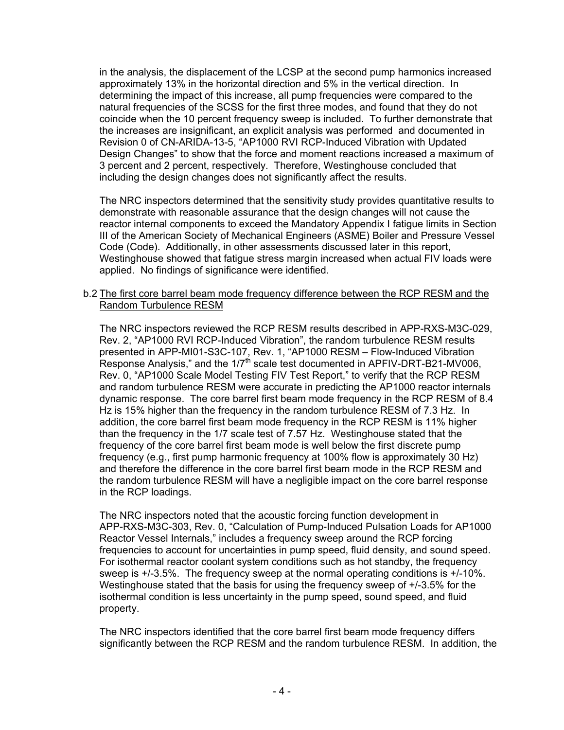in the analysis, the displacement of the LCSP at the second pump harmonics increased approximately 13% in the horizontal direction and 5% in the vertical direction. In determining the impact of this increase, all pump frequencies were compared to the natural frequencies of the SCSS for the first three modes, and found that they do not coincide when the 10 percent frequency sweep is included. To further demonstrate that the increases are insignificant, an explicit analysis was performed and documented in Revision 0 of CN-ARIDA-13-5, "AP1000 RVI RCP-Induced Vibration with Updated Design Changes" to show that the force and moment reactions increased a maximum of 3 percent and 2 percent, respectively. Therefore, Westinghouse concluded that including the design changes does not significantly affect the results.

The NRC inspectors determined that the sensitivity study provides quantitative results to demonstrate with reasonable assurance that the design changes will not cause the reactor internal components to exceed the Mandatory Appendix I fatigue limits in Section III of the American Society of Mechanical Engineers (ASME) Boiler and Pressure Vessel Code (Code). Additionally, in other assessments discussed later in this report, Westinghouse showed that fatigue stress margin increased when actual FIV loads were applied. No findings of significance were identified.

#### b.2 The first core barrel beam mode frequency difference between the RCP RESM and the Random Turbulence RESM

The NRC inspectors reviewed the RCP RESM results described in APP-RXS-M3C-029, Rev. 2, "AP1000 RVI RCP-Induced Vibration", the random turbulence RESM results presented in APP-MI01-S3C-107, Rev. 1, "AP1000 RESM – Flow-Induced Vibration Response Analysis," and the  $1/7<sup>th</sup>$  scale test documented in APFIV-DRT-B21-MV006, Rev. 0, "AP1000 Scale Model Testing FIV Test Report," to verify that the RCP RESM and random turbulence RESM were accurate in predicting the AP1000 reactor internals dynamic response. The core barrel first beam mode frequency in the RCP RESM of 8.4 Hz is 15% higher than the frequency in the random turbulence RESM of 7.3 Hz. In addition, the core barrel first beam mode frequency in the RCP RESM is 11% higher than the frequency in the 1/7 scale test of 7.57 Hz. Westinghouse stated that the frequency of the core barrel first beam mode is well below the first discrete pump frequency (e.g., first pump harmonic frequency at 100% flow is approximately 30 Hz) and therefore the difference in the core barrel first beam mode in the RCP RESM and the random turbulence RESM will have a negligible impact on the core barrel response in the RCP loadings.

The NRC inspectors noted that the acoustic forcing function development in APP-RXS-M3C-303, Rev. 0, "Calculation of Pump-Induced Pulsation Loads for AP1000 Reactor Vessel Internals," includes a frequency sweep around the RCP forcing frequencies to account for uncertainties in pump speed, fluid density, and sound speed. For isothermal reactor coolant system conditions such as hot standby, the frequency sweep is +/-3.5%. The frequency sweep at the normal operating conditions is +/-10%. Westinghouse stated that the basis for using the frequency sweep of +/-3.5% for the isothermal condition is less uncertainty in the pump speed, sound speed, and fluid property.

The NRC inspectors identified that the core barrel first beam mode frequency differs significantly between the RCP RESM and the random turbulence RESM. In addition, the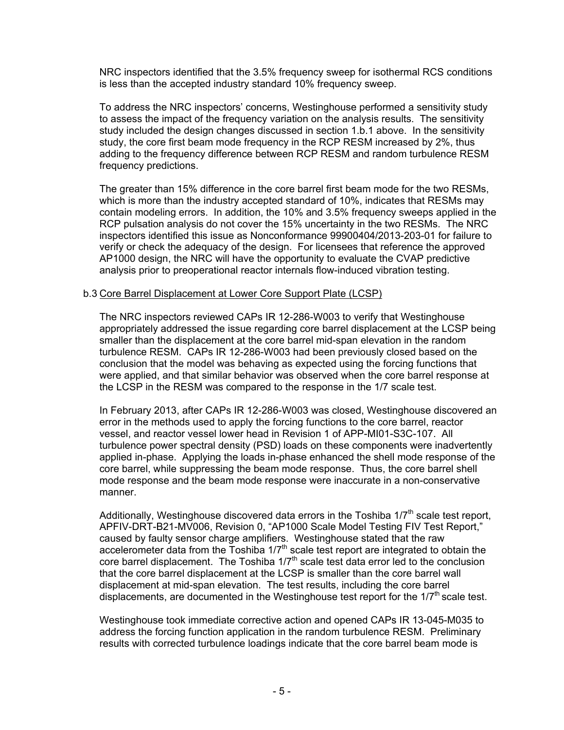NRC inspectors identified that the 3.5% frequency sweep for isothermal RCS conditions is less than the accepted industry standard 10% frequency sweep.

To address the NRC inspectors' concerns, Westinghouse performed a sensitivity study to assess the impact of the frequency variation on the analysis results. The sensitivity study included the design changes discussed in section 1.b.1 above. In the sensitivity study, the core first beam mode frequency in the RCP RESM increased by 2%, thus adding to the frequency difference between RCP RESM and random turbulence RESM frequency predictions.

The greater than 15% difference in the core barrel first beam mode for the two RESMs, which is more than the industry accepted standard of 10%, indicates that RESMs may contain modeling errors. In addition, the 10% and 3.5% frequency sweeps applied in the RCP pulsation analysis do not cover the 15% uncertainty in the two RESMs. The NRC inspectors identified this issue as Nonconformance 99900404/2013-203-01 for failure to verify or check the adequacy of the design. For licensees that reference the approved AP1000 design, the NRC will have the opportunity to evaluate the CVAP predictive analysis prior to preoperational reactor internals flow-induced vibration testing.

#### b.3 Core Barrel Displacement at Lower Core Support Plate (LCSP)

The NRC inspectors reviewed CAPs IR 12-286-W003 to verify that Westinghouse appropriately addressed the issue regarding core barrel displacement at the LCSP being smaller than the displacement at the core barrel mid-span elevation in the random turbulence RESM. CAPs IR 12-286-W003 had been previously closed based on the conclusion that the model was behaving as expected using the forcing functions that were applied, and that similar behavior was observed when the core barrel response at the LCSP in the RESM was compared to the response in the 1/7 scale test.

In February 2013, after CAPs IR 12-286-W003 was closed, Westinghouse discovered an error in the methods used to apply the forcing functions to the core barrel, reactor vessel, and reactor vessel lower head in Revision 1 of APP-MI01-S3C-107. All turbulence power spectral density (PSD) loads on these components were inadvertently applied in-phase. Applying the loads in-phase enhanced the shell mode response of the core barrel, while suppressing the beam mode response. Thus, the core barrel shell mode response and the beam mode response were inaccurate in a non-conservative manner.

Additionally, Westinghouse discovered data errors in the Toshiba  $1/7<sup>th</sup>$  scale test report, APFIV-DRT-B21-MV006, Revision 0, "AP1000 Scale Model Testing FIV Test Report," caused by faulty sensor charge amplifiers. Westinghouse stated that the raw accelerometer data from the Toshiba  $1/7<sup>th</sup>$  scale test report are integrated to obtain the core barrel displacement. The Toshiba  $1/7<sup>th</sup>$  scale test data error led to the conclusion that the core barrel displacement at the LCSP is smaller than the core barrel wall displacement at mid-span elevation. The test results, including the core barrel displacements, are documented in the Westinghouse test report for the  $1/7<sup>th</sup>$  scale test.

Westinghouse took immediate corrective action and opened CAPs IR 13-045-M035 to address the forcing function application in the random turbulence RESM. Preliminary results with corrected turbulence loadings indicate that the core barrel beam mode is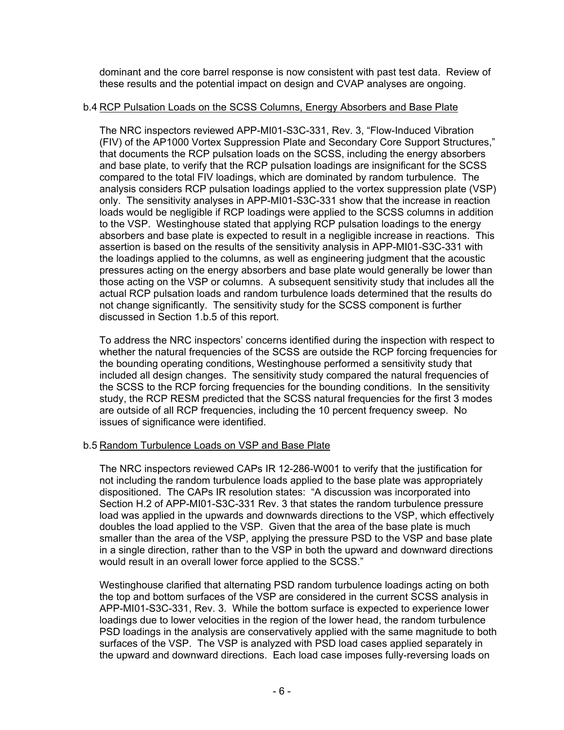dominant and the core barrel response is now consistent with past test data. Review of these results and the potential impact on design and CVAP analyses are ongoing.

#### b.4 RCP Pulsation Loads on the SCSS Columns, Energy Absorbers and Base Plate

The NRC inspectors reviewed APP-MI01-S3C-331, Rev. 3, "Flow-Induced Vibration (FIV) of the AP1000 Vortex Suppression Plate and Secondary Core Support Structures," that documents the RCP pulsation loads on the SCSS, including the energy absorbers and base plate, to verify that the RCP pulsation loadings are insignificant for the SCSS compared to the total FIV loadings, which are dominated by random turbulence. The analysis considers RCP pulsation loadings applied to the vortex suppression plate (VSP) only. The sensitivity analyses in APP-MI01-S3C-331 show that the increase in reaction loads would be negligible if RCP loadings were applied to the SCSS columns in addition to the VSP. Westinghouse stated that applying RCP pulsation loadings to the energy absorbers and base plate is expected to result in a negligible increase in reactions. This assertion is based on the results of the sensitivity analysis in APP-MI01-S3C-331 with the loadings applied to the columns, as well as engineering judgment that the acoustic pressures acting on the energy absorbers and base plate would generally be lower than those acting on the VSP or columns. A subsequent sensitivity study that includes all the actual RCP pulsation loads and random turbulence loads determined that the results do not change significantly. The sensitivity study for the SCSS component is further discussed in Section 1.b.5 of this report.

To address the NRC inspectors' concerns identified during the inspection with respect to whether the natural frequencies of the SCSS are outside the RCP forcing frequencies for the bounding operating conditions, Westinghouse performed a sensitivity study that included all design changes. The sensitivity study compared the natural frequencies of the SCSS to the RCP forcing frequencies for the bounding conditions. In the sensitivity study, the RCP RESM predicted that the SCSS natural frequencies for the first 3 modes are outside of all RCP frequencies, including the 10 percent frequency sweep. No issues of significance were identified.

### b.5 Random Turbulence Loads on VSP and Base Plate

The NRC inspectors reviewed CAPs IR 12-286-W001 to verify that the justification for not including the random turbulence loads applied to the base plate was appropriately dispositioned. The CAPs IR resolution states: "A discussion was incorporated into Section H.2 of APP-MI01-S3C-331 Rev. 3 that states the random turbulence pressure load was applied in the upwards and downwards directions to the VSP, which effectively doubles the load applied to the VSP. Given that the area of the base plate is much smaller than the area of the VSP, applying the pressure PSD to the VSP and base plate in a single direction, rather than to the VSP in both the upward and downward directions would result in an overall lower force applied to the SCSS."

Westinghouse clarified that alternating PSD random turbulence loadings acting on both the top and bottom surfaces of the VSP are considered in the current SCSS analysis in APP-MI01-S3C-331, Rev. 3. While the bottom surface is expected to experience lower loadings due to lower velocities in the region of the lower head, the random turbulence PSD loadings in the analysis are conservatively applied with the same magnitude to both surfaces of the VSP. The VSP is analyzed with PSD load cases applied separately in the upward and downward directions. Each load case imposes fully-reversing loads on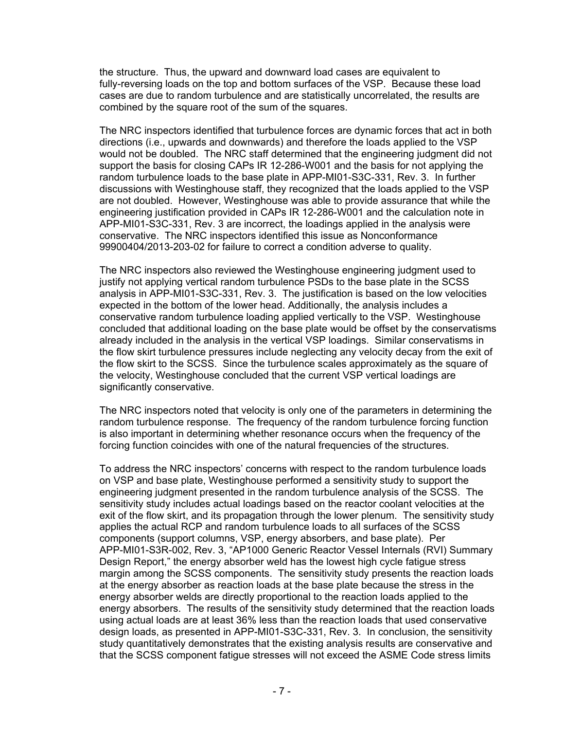the structure. Thus, the upward and downward load cases are equivalent to fully-reversing loads on the top and bottom surfaces of the VSP. Because these load cases are due to random turbulence and are statistically uncorrelated, the results are combined by the square root of the sum of the squares.

The NRC inspectors identified that turbulence forces are dynamic forces that act in both directions (i.e., upwards and downwards) and therefore the loads applied to the VSP would not be doubled. The NRC staff determined that the engineering judgment did not support the basis for closing CAPs IR 12-286-W001 and the basis for not applying the random turbulence loads to the base plate in APP-MI01-S3C-331, Rev. 3. In further discussions with Westinghouse staff, they recognized that the loads applied to the VSP are not doubled. However, Westinghouse was able to provide assurance that while the engineering justification provided in CAPs IR 12-286-W001 and the calculation note in APP-MI01-S3C-331, Rev. 3 are incorrect, the loadings applied in the analysis were conservative. The NRC inspectors identified this issue as Nonconformance 99900404/2013-203-02 for failure to correct a condition adverse to quality.

The NRC inspectors also reviewed the Westinghouse engineering judgment used to justify not applying vertical random turbulence PSDs to the base plate in the SCSS analysis in APP-MI01-S3C-331, Rev. 3. The justification is based on the low velocities expected in the bottom of the lower head. Additionally, the analysis includes a conservative random turbulence loading applied vertically to the VSP. Westinghouse concluded that additional loading on the base plate would be offset by the conservatisms already included in the analysis in the vertical VSP loadings. Similar conservatisms in the flow skirt turbulence pressures include neglecting any velocity decay from the exit of the flow skirt to the SCSS. Since the turbulence scales approximately as the square of the velocity, Westinghouse concluded that the current VSP vertical loadings are significantly conservative.

The NRC inspectors noted that velocity is only one of the parameters in determining the random turbulence response. The frequency of the random turbulence forcing function is also important in determining whether resonance occurs when the frequency of the forcing function coincides with one of the natural frequencies of the structures.

To address the NRC inspectors' concerns with respect to the random turbulence loads on VSP and base plate, Westinghouse performed a sensitivity study to support the engineering judgment presented in the random turbulence analysis of the SCSS. The sensitivity study includes actual loadings based on the reactor coolant velocities at the exit of the flow skirt, and its propagation through the lower plenum. The sensitivity study applies the actual RCP and random turbulence loads to all surfaces of the SCSS components (support columns, VSP, energy absorbers, and base plate). Per APP-MI01-S3R-002, Rev. 3, "AP1000 Generic Reactor Vessel Internals (RVI) Summary Design Report," the energy absorber weld has the lowest high cycle fatigue stress margin among the SCSS components. The sensitivity study presents the reaction loads at the energy absorber as reaction loads at the base plate because the stress in the energy absorber welds are directly proportional to the reaction loads applied to the energy absorbers. The results of the sensitivity study determined that the reaction loads using actual loads are at least 36% less than the reaction loads that used conservative design loads, as presented in APP-MI01-S3C-331, Rev. 3. In conclusion, the sensitivity study quantitatively demonstrates that the existing analysis results are conservative and that the SCSS component fatigue stresses will not exceed the ASME Code stress limits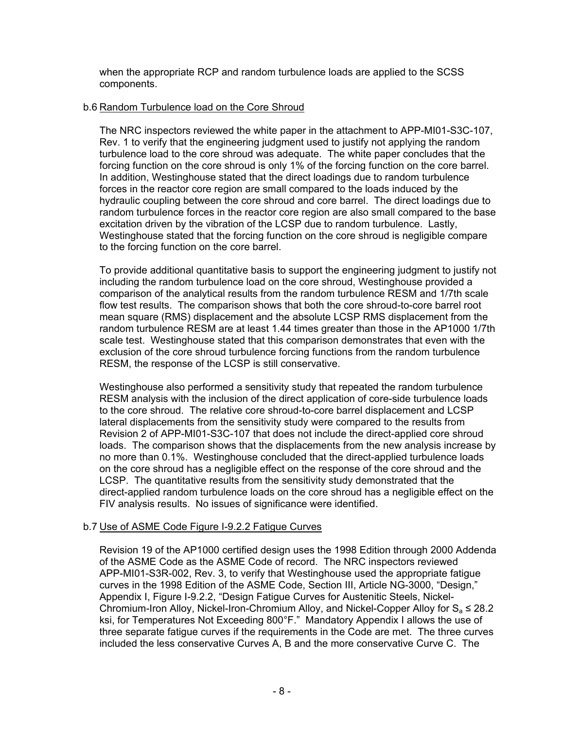when the appropriate RCP and random turbulence loads are applied to the SCSS components.

#### b.6 Random Turbulence load on the Core Shroud

The NRC inspectors reviewed the white paper in the attachment to APP-MI01-S3C-107, Rev. 1 to verify that the engineering judgment used to justify not applying the random turbulence load to the core shroud was adequate. The white paper concludes that the forcing function on the core shroud is only 1% of the forcing function on the core barrel. In addition, Westinghouse stated that the direct loadings due to random turbulence forces in the reactor core region are small compared to the loads induced by the hydraulic coupling between the core shroud and core barrel. The direct loadings due to random turbulence forces in the reactor core region are also small compared to the base excitation driven by the vibration of the LCSP due to random turbulence. Lastly, Westinghouse stated that the forcing function on the core shroud is negligible compare to the forcing function on the core barrel.

To provide additional quantitative basis to support the engineering judgment to justify not including the random turbulence load on the core shroud, Westinghouse provided a comparison of the analytical results from the random turbulence RESM and 1/7th scale flow test results. The comparison shows that both the core shroud-to-core barrel root mean square (RMS) displacement and the absolute LCSP RMS displacement from the random turbulence RESM are at least 1.44 times greater than those in the AP1000 1/7th scale test. Westinghouse stated that this comparison demonstrates that even with the exclusion of the core shroud turbulence forcing functions from the random turbulence RESM, the response of the LCSP is still conservative.

Westinghouse also performed a sensitivity study that repeated the random turbulence RESM analysis with the inclusion of the direct application of core-side turbulence loads to the core shroud. The relative core shroud-to-core barrel displacement and LCSP lateral displacements from the sensitivity study were compared to the results from Revision 2 of APP-MI01-S3C-107 that does not include the direct-applied core shroud loads. The comparison shows that the displacements from the new analysis increase by no more than 0.1%. Westinghouse concluded that the direct-applied turbulence loads on the core shroud has a negligible effect on the response of the core shroud and the LCSP. The quantitative results from the sensitivity study demonstrated that the direct-applied random turbulence loads on the core shroud has a negligible effect on the FIV analysis results. No issues of significance were identified.

### b.7 Use of ASME Code Figure I-9.2.2 Fatigue Curves

Revision 19 of the AP1000 certified design uses the 1998 Edition through 2000 Addenda of the ASME Code as the ASME Code of record. The NRC inspectors reviewed APP-MI01-S3R-002, Rev. 3, to verify that Westinghouse used the appropriate fatigue curves in the 1998 Edition of the ASME Code, Section III, Article NG-3000, "Design," Appendix I, Figure I-9.2.2, "Design Fatigue Curves for Austenitic Steels, Nickel-Chromium-Iron Alloy, Nickel-Iron-Chromium Alloy, and Nickel-Copper Alloy for  $S_a \le 28.2$ ksi, for Temperatures Not Exceeding 800°F." Mandatory Appendix I allows the use of three separate fatigue curves if the requirements in the Code are met. The three curves included the less conservative Curves A, B and the more conservative Curve C. The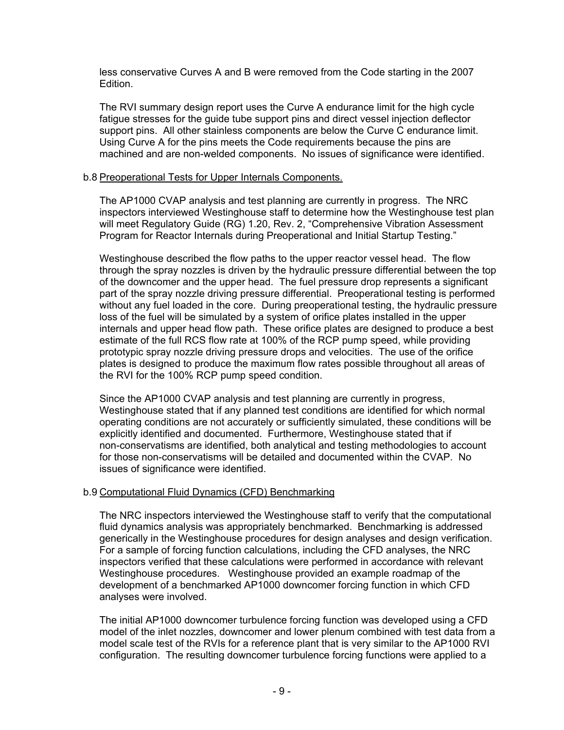less conservative Curves A and B were removed from the Code starting in the 2007 Edition.

The RVI summary design report uses the Curve A endurance limit for the high cycle fatigue stresses for the guide tube support pins and direct vessel injection deflector support pins. All other stainless components are below the Curve C endurance limit. Using Curve A for the pins meets the Code requirements because the pins are machined and are non-welded components. No issues of significance were identified.

#### b.8 Preoperational Tests for Upper Internals Components.

The AP1000 CVAP analysis and test planning are currently in progress. The NRC inspectors interviewed Westinghouse staff to determine how the Westinghouse test plan will meet Regulatory Guide (RG) 1.20, Rev. 2, "Comprehensive Vibration Assessment Program for Reactor Internals during Preoperational and Initial Startup Testing."

Westinghouse described the flow paths to the upper reactor vessel head. The flow through the spray nozzles is driven by the hydraulic pressure differential between the top of the downcomer and the upper head. The fuel pressure drop represents a significant part of the spray nozzle driving pressure differential. Preoperational testing is performed without any fuel loaded in the core. During preoperational testing, the hydraulic pressure loss of the fuel will be simulated by a system of orifice plates installed in the upper internals and upper head flow path. These orifice plates are designed to produce a best estimate of the full RCS flow rate at 100% of the RCP pump speed, while providing prototypic spray nozzle driving pressure drops and velocities. The use of the orifice plates is designed to produce the maximum flow rates possible throughout all areas of the RVI for the 100% RCP pump speed condition.

Since the AP1000 CVAP analysis and test planning are currently in progress, Westinghouse stated that if any planned test conditions are identified for which normal operating conditions are not accurately or sufficiently simulated, these conditions will be explicitly identified and documented. Furthermore, Westinghouse stated that if non-conservatisms are identified, both analytical and testing methodologies to account for those non-conservatisms will be detailed and documented within the CVAP. No issues of significance were identified.

### b.9 Computational Fluid Dynamics (CFD) Benchmarking

The NRC inspectors interviewed the Westinghouse staff to verify that the computational fluid dynamics analysis was appropriately benchmarked. Benchmarking is addressed generically in the Westinghouse procedures for design analyses and design verification. For a sample of forcing function calculations, including the CFD analyses, the NRC inspectors verified that these calculations were performed in accordance with relevant Westinghouse procedures. Westinghouse provided an example roadmap of the development of a benchmarked AP1000 downcomer forcing function in which CFD analyses were involved.

The initial AP1000 downcomer turbulence forcing function was developed using a CFD model of the inlet nozzles, downcomer and lower plenum combined with test data from a model scale test of the RVIs for a reference plant that is very similar to the AP1000 RVI configuration. The resulting downcomer turbulence forcing functions were applied to a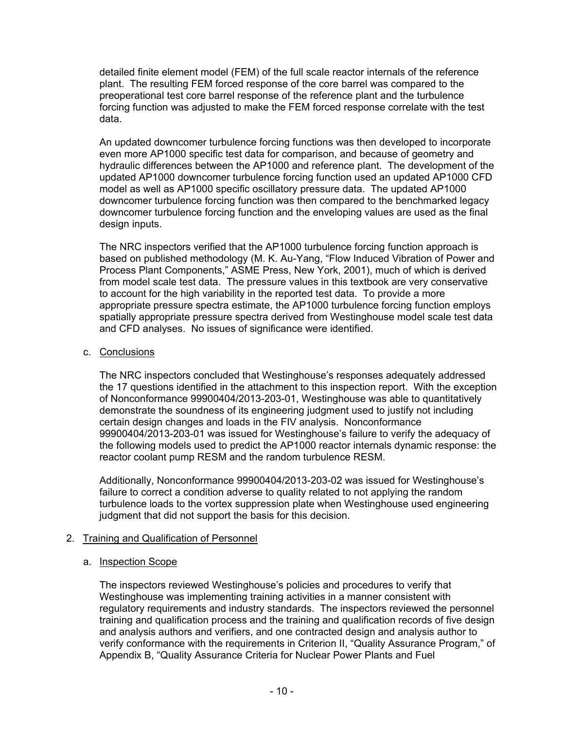detailed finite element model (FEM) of the full scale reactor internals of the reference plant. The resulting FEM forced response of the core barrel was compared to the preoperational test core barrel response of the reference plant and the turbulence forcing function was adjusted to make the FEM forced response correlate with the test data.

An updated downcomer turbulence forcing functions was then developed to incorporate even more AP1000 specific test data for comparison, and because of geometry and hydraulic differences between the AP1000 and reference plant. The development of the updated AP1000 downcomer turbulence forcing function used an updated AP1000 CFD model as well as AP1000 specific oscillatory pressure data. The updated AP1000 downcomer turbulence forcing function was then compared to the benchmarked legacy downcomer turbulence forcing function and the enveloping values are used as the final design inputs.

The NRC inspectors verified that the AP1000 turbulence forcing function approach is based on published methodology (M. K. Au-Yang, "Flow Induced Vibration of Power and Process Plant Components," ASME Press, New York, 2001), much of which is derived from model scale test data. The pressure values in this textbook are very conservative to account for the high variability in the reported test data. To provide a more appropriate pressure spectra estimate, the AP1000 turbulence forcing function employs spatially appropriate pressure spectra derived from Westinghouse model scale test data and CFD analyses. No issues of significance were identified.

### c. Conclusions

The NRC inspectors concluded that Westinghouse's responses adequately addressed the 17 questions identified in the attachment to this inspection report. With the exception of Nonconformance 99900404/2013-203-01, Westinghouse was able to quantitatively demonstrate the soundness of its engineering judgment used to justify not including certain design changes and loads in the FIV analysis. Nonconformance 99900404/2013-203-01 was issued for Westinghouse's failure to verify the adequacy of the following models used to predict the AP1000 reactor internals dynamic response: the reactor coolant pump RESM and the random turbulence RESM.

Additionally, Nonconformance 99900404/2013-203-02 was issued for Westinghouse's failure to correct a condition adverse to quality related to not applying the random turbulence loads to the vortex suppression plate when Westinghouse used engineering judgment that did not support the basis for this decision.

### 2. Training and Qualification of Personnel

### a. Inspection Scope

The inspectors reviewed Westinghouse's policies and procedures to verify that Westinghouse was implementing training activities in a manner consistent with regulatory requirements and industry standards. The inspectors reviewed the personnel training and qualification process and the training and qualification records of five design and analysis authors and verifiers, and one contracted design and analysis author to verify conformance with the requirements in Criterion II, "Quality Assurance Program," of Appendix B, "Quality Assurance Criteria for Nuclear Power Plants and Fuel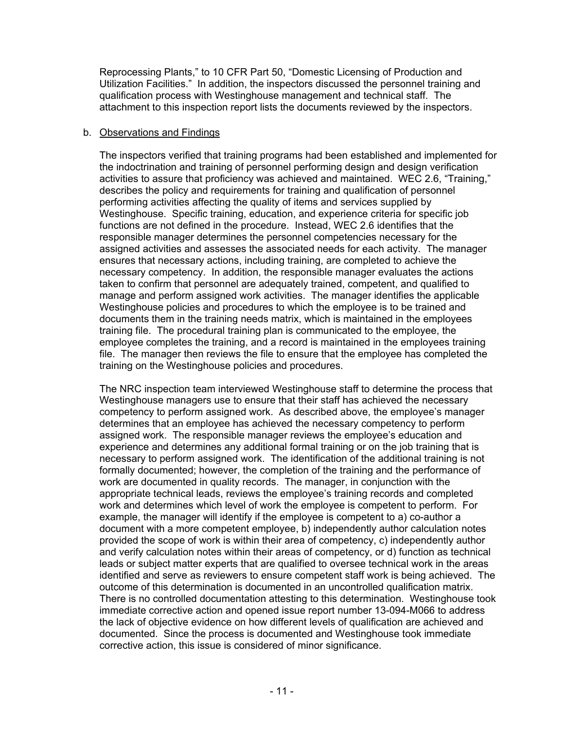Reprocessing Plants," to 10 CFR Part 50, "Domestic Licensing of Production and Utilization Facilities." In addition, the inspectors discussed the personnel training and qualification process with Westinghouse management and technical staff. The attachment to this inspection report lists the documents reviewed by the inspectors.

#### b. Observations and Findings

The inspectors verified that training programs had been established and implemented for the indoctrination and training of personnel performing design and design verification activities to assure that proficiency was achieved and maintained. WEC 2.6, "Training," describes the policy and requirements for training and qualification of personnel performing activities affecting the quality of items and services supplied by Westinghouse. Specific training, education, and experience criteria for specific job functions are not defined in the procedure. Instead, WEC 2.6 identifies that the responsible manager determines the personnel competencies necessary for the assigned activities and assesses the associated needs for each activity. The manager ensures that necessary actions, including training, are completed to achieve the necessary competency. In addition, the responsible manager evaluates the actions taken to confirm that personnel are adequately trained, competent, and qualified to manage and perform assigned work activities. The manager identifies the applicable Westinghouse policies and procedures to which the employee is to be trained and documents them in the training needs matrix, which is maintained in the employees training file. The procedural training plan is communicated to the employee, the employee completes the training, and a record is maintained in the employees training file. The manager then reviews the file to ensure that the employee has completed the training on the Westinghouse policies and procedures.

The NRC inspection team interviewed Westinghouse staff to determine the process that Westinghouse managers use to ensure that their staff has achieved the necessary competency to perform assigned work. As described above, the employee's manager determines that an employee has achieved the necessary competency to perform assigned work. The responsible manager reviews the employee's education and experience and determines any additional formal training or on the job training that is necessary to perform assigned work. The identification of the additional training is not formally documented; however, the completion of the training and the performance of work are documented in quality records. The manager, in conjunction with the appropriate technical leads, reviews the employee's training records and completed work and determines which level of work the employee is competent to perform. For example, the manager will identify if the employee is competent to a) co-author a document with a more competent employee, b) independently author calculation notes provided the scope of work is within their area of competency, c) independently author and verify calculation notes within their areas of competency, or d) function as technical leads or subject matter experts that are qualified to oversee technical work in the areas identified and serve as reviewers to ensure competent staff work is being achieved. The outcome of this determination is documented in an uncontrolled qualification matrix. There is no controlled documentation attesting to this determination. Westinghouse took immediate corrective action and opened issue report number 13-094-M066 to address the lack of objective evidence on how different levels of qualification are achieved and documented. Since the process is documented and Westinghouse took immediate corrective action, this issue is considered of minor significance.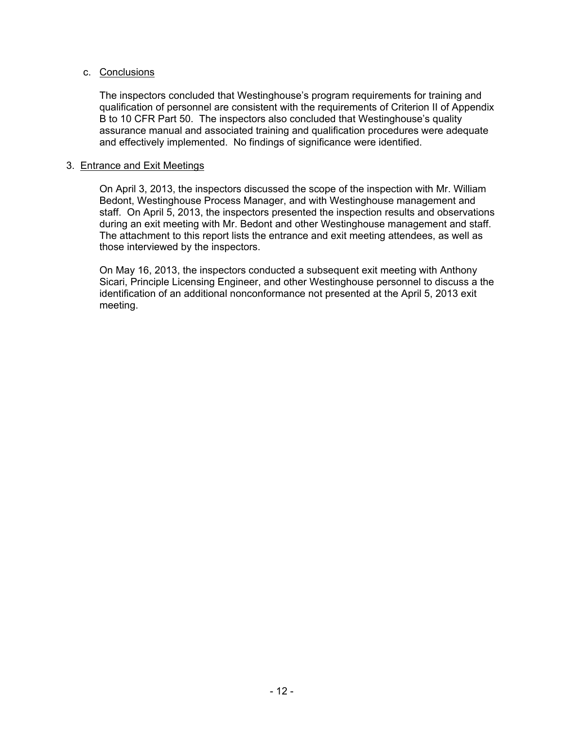#### c. Conclusions

The inspectors concluded that Westinghouse's program requirements for training and qualification of personnel are consistent with the requirements of Criterion II of Appendix B to 10 CFR Part 50. The inspectors also concluded that Westinghouse's quality assurance manual and associated training and qualification procedures were adequate and effectively implemented. No findings of significance were identified.

#### 3. Entrance and Exit Meetings

On April 3, 2013, the inspectors discussed the scope of the inspection with Mr. William Bedont, Westinghouse Process Manager, and with Westinghouse management and staff. On April 5, 2013, the inspectors presented the inspection results and observations during an exit meeting with Mr. Bedont and other Westinghouse management and staff. The attachment to this report lists the entrance and exit meeting attendees, as well as those interviewed by the inspectors.

On May 16, 2013, the inspectors conducted a subsequent exit meeting with Anthony Sicari, Principle Licensing Engineer, and other Westinghouse personnel to discuss a the identification of an additional nonconformance not presented at the April 5, 2013 exit meeting.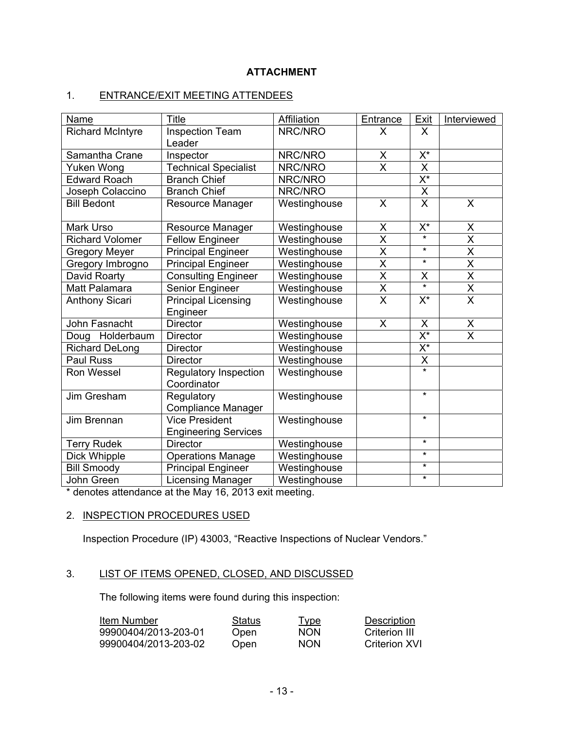# **ATTACHMENT**

# 1. ENTRANCE/EXIT MEETING ATTENDEES

| <b>Name</b>             | Title                                         | <b>Affiliation</b> | Entrance                | Exit                            | Interviewed             |
|-------------------------|-----------------------------------------------|--------------------|-------------------------|---------------------------------|-------------------------|
| <b>Richard McIntyre</b> | <b>Inspection Team</b>                        | NRC/NRO            | X                       | X                               |                         |
|                         | Leader                                        |                    |                         |                                 |                         |
| Samantha Crane          | Inspector                                     | NRC/NRO            | X                       | $\overline{X^*}$                |                         |
| Yuken Wong              | <b>Technical Specialist</b>                   | NRC/NRO            | $\overline{\mathsf{x}}$ | $\overline{\mathsf{x}}$         |                         |
| <b>Edward Roach</b>     | <b>Branch Chief</b>                           | NRC/NRO            |                         | $\overline{\mathsf{X}^{\star}}$ |                         |
| Joseph Colaccino        | <b>Branch Chief</b>                           | NRC/NRO            |                         | $\overline{\mathsf{x}}$         |                         |
| <b>Bill Bedont</b>      | Resource Manager                              | Westinghouse       | X                       | $\mathsf{X}$                    | X                       |
| Mark Urso               | Resource Manager                              | Westinghouse       | X                       | $X^*$                           | X                       |
| <b>Richard Volomer</b>  | <b>Fellow Engineer</b>                        | Westinghouse       | $\overline{\mathsf{x}}$ | $\star$                         | $\overline{\mathsf{x}}$ |
| <b>Gregory Meyer</b>    | <b>Principal Engineer</b>                     | Westinghouse       | X                       | $\star$                         | $\overline{\mathsf{x}}$ |
| Gregory Imbrogno        | <b>Principal Engineer</b>                     | Westinghouse       | $\overline{\mathsf{x}}$ | $\star$                         | $\overline{\mathsf{x}}$ |
| David Roarty            | <b>Consulting Engineer</b>                    | Westinghouse       | $\overline{\mathsf{x}}$ | X                               | $\overline{\sf x}$      |
| Matt Palamara           | Senior Engineer                               | Westinghouse       | $\overline{\mathsf{x}}$ |                                 | $\overline{\mathsf{x}}$ |
| <b>Anthony Sicari</b>   | <b>Principal Licensing</b><br>Engineer        | Westinghouse       | $\overline{\mathsf{X}}$ | $X^*$                           | $\mathsf{X}$            |
| John Fasnacht           | <b>Director</b>                               | Westinghouse       | X                       | X                               | X                       |
| Doug Holderbaum         | <b>Director</b>                               | Westinghouse       |                         | $\overline{\mathsf{X}^*}$       | $\overline{\mathsf{x}}$ |
| <b>Richard DeLong</b>   | <b>Director</b>                               | Westinghouse       |                         | $\overline{\mathsf{X}^{\star}}$ |                         |
| Paul Russ               | <b>Director</b>                               | Westinghouse       |                         | X                               |                         |
| Ron Wessel              | <b>Regulatory Inspection</b><br>Coordinator   | Westinghouse       |                         | $\star$                         |                         |
| Jim Gresham             | Regulatory<br>Compliance Manager              | Westinghouse       |                         | $\star$                         |                         |
| Jim Brennan             | Vice President<br><b>Engineering Services</b> | Westinghouse       |                         | $\star$                         |                         |
| <b>Terry Rudek</b>      | <b>Director</b>                               | Westinghouse       |                         | $\star$                         |                         |
| Dick Whipple            | <b>Operations Manage</b>                      | Westinghouse       |                         | $\star$                         |                         |
| <b>Bill Smoody</b>      | Principal Engineer                            | Westinghouse       |                         | $\star$                         |                         |
| John Green              | Licensing Manager                             | Westinghouse       |                         | $\star$                         |                         |

\* denotes attendance at the May 16, 2013 exit meeting.

### 2. INSPECTION PROCEDURES USED

Inspection Procedure (IP) 43003, "Reactive Inspections of Nuclear Vendors."

### 3. LIST OF ITEMS OPENED, CLOSED, AND DISCUSSED

The following items were found during this inspection:

| Item Number          | Status | <u>Type</u> | Description   |
|----------------------|--------|-------------|---------------|
| 99900404/2013-203-01 | Open   | <b>NON</b>  | Criterion III |
| 99900404/2013-203-02 | Open   | <b>NON</b>  | Criterion XVI |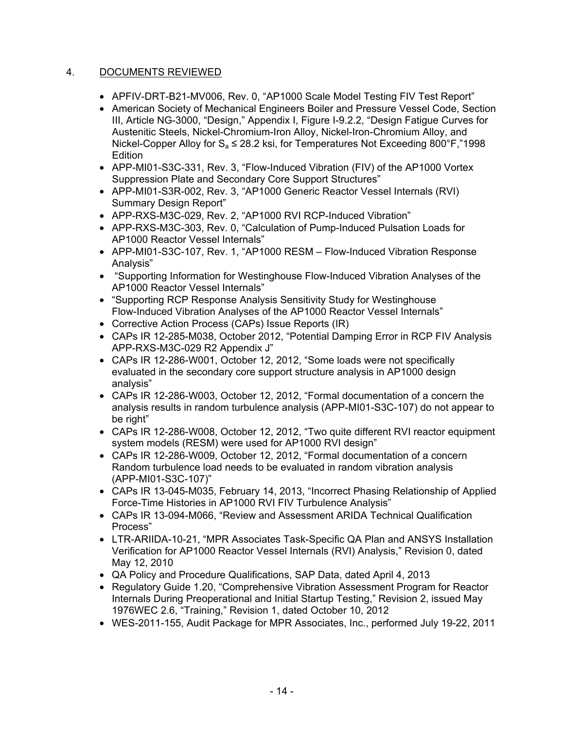# 4. DOCUMENTS REVIEWED

- APFIV-DRT-B21-MV006, Rev. 0, "AP1000 Scale Model Testing FIV Test Report"
- American Society of Mechanical Engineers Boiler and Pressure Vessel Code, Section III, Article NG-3000, "Design," Appendix I, Figure I-9.2.2, "Design Fatigue Curves for Austenitic Steels, Nickel-Chromium-Iron Alloy, Nickel-Iron-Chromium Alloy, and Nickel-Copper Alloy for  $S<sub>a</sub> \le 28.2$  ksi, for Temperatures Not Exceeding 800°F,"1998 Edition
- APP-MI01-S3C-331, Rev. 3, "Flow-Induced Vibration (FIV) of the AP1000 Vortex Suppression Plate and Secondary Core Support Structures"
- APP-MI01-S3R-002, Rev. 3, "AP1000 Generic Reactor Vessel Internals (RVI) Summary Design Report"
- APP-RXS-M3C-029, Rev. 2, "AP1000 RVI RCP-Induced Vibration"
- APP-RXS-M3C-303, Rev. 0, "Calculation of Pump-Induced Pulsation Loads for AP1000 Reactor Vessel Internals"
- APP-MI01-S3C-107, Rev. 1, "AP1000 RESM Flow-Induced Vibration Response Analysis"
- "Supporting Information for Westinghouse Flow-Induced Vibration Analyses of the AP1000 Reactor Vessel Internals"
- "Supporting RCP Response Analysis Sensitivity Study for Westinghouse Flow-Induced Vibration Analyses of the AP1000 Reactor Vessel Internals"
- Corrective Action Process (CAPs) Issue Reports (IR)
- CAPs IR 12-285-M038, October 2012, "Potential Damping Error in RCP FIV Analysis APP-RXS-M3C-029 R2 Appendix J"
- CAPs IR 12-286-W001, October 12, 2012, "Some loads were not specifically evaluated in the secondary core support structure analysis in AP1000 design analysis"
- CAPs IR 12-286-W003, October 12, 2012, "Formal documentation of a concern the analysis results in random turbulence analysis (APP-MI01-S3C-107) do not appear to be right"
- CAPs IR 12-286-W008, October 12, 2012, "Two quite different RVI reactor equipment system models (RESM) were used for AP1000 RVI design"
- CAPs IR 12-286-W009, October 12, 2012, "Formal documentation of a concern Random turbulence load needs to be evaluated in random vibration analysis (APP-MI01-S3C-107)"
- CAPs IR 13-045-M035, February 14, 2013, "Incorrect Phasing Relationship of Applied Force-Time Histories in AP1000 RVI FIV Turbulence Analysis"
- CAPs IR 13-094-M066, "Review and Assessment ARIDA Technical Qualification Process"
- LTR-ARIIDA-10-21, "MPR Associates Task-Specific QA Plan and ANSYS Installation Verification for AP1000 Reactor Vessel Internals (RVI) Analysis," Revision 0, dated May 12, 2010
- QA Policy and Procedure Qualifications, SAP Data, dated April 4, 2013
- Regulatory Guide 1.20, "Comprehensive Vibration Assessment Program for Reactor Internals During Preoperational and Initial Startup Testing," Revision 2, issued May 1976WEC 2.6, "Training," Revision 1, dated October 10, 2012
- WES-2011-155, Audit Package for MPR Associates, Inc., performed July 19-22, 2011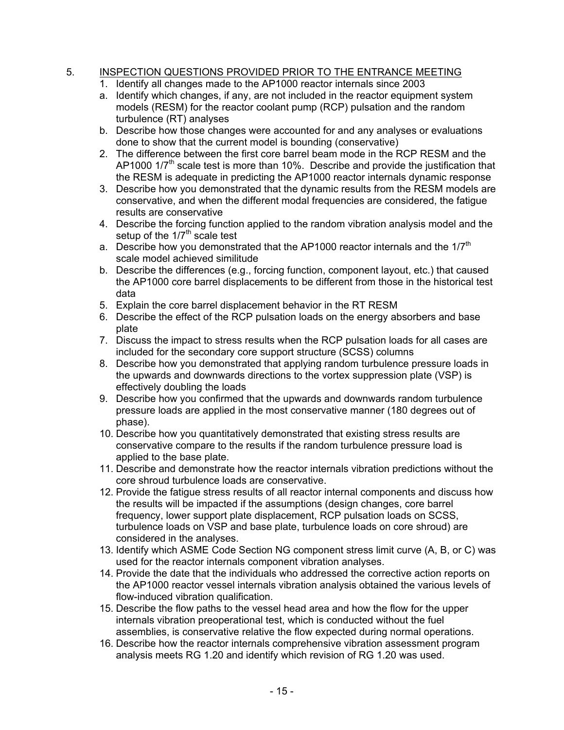# 5. INSPECTION QUESTIONS PROVIDED PRIOR TO THE ENTRANCE MEETING

- 1. Identify all changes made to the AP1000 reactor internals since 2003
- a. Identify which changes, if any, are not included in the reactor equipment system models (RESM) for the reactor coolant pump (RCP) pulsation and the random turbulence (RT) analyses
- b. Describe how those changes were accounted for and any analyses or evaluations done to show that the current model is bounding (conservative)
- 2. The difference between the first core barrel beam mode in the RCP RESM and the AP1000  $1/7<sup>th</sup>$  scale test is more than 10%. Describe and provide the justification that the RESM is adequate in predicting the AP1000 reactor internals dynamic response
- 3. Describe how you demonstrated that the dynamic results from the RESM models are conservative, and when the different modal frequencies are considered, the fatigue results are conservative
- 4. Describe the forcing function applied to the random vibration analysis model and the setup of the  $1/7<sup>th</sup>$  scale test
- a. Describe how you demonstrated that the AP1000 reactor internals and the  $1/7<sup>th</sup>$ scale model achieved similitude
- b. Describe the differences (e.g., forcing function, component layout, etc.) that caused the AP1000 core barrel displacements to be different from those in the historical test data
- 5. Explain the core barrel displacement behavior in the RT RESM
- 6. Describe the effect of the RCP pulsation loads on the energy absorbers and base plate
- 7. Discuss the impact to stress results when the RCP pulsation loads for all cases are included for the secondary core support structure (SCSS) columns
- 8. Describe how you demonstrated that applying random turbulence pressure loads in the upwards and downwards directions to the vortex suppression plate (VSP) is effectively doubling the loads
- 9. Describe how you confirmed that the upwards and downwards random turbulence pressure loads are applied in the most conservative manner (180 degrees out of phase).
- 10. Describe how you quantitatively demonstrated that existing stress results are conservative compare to the results if the random turbulence pressure load is applied to the base plate.
- 11. Describe and demonstrate how the reactor internals vibration predictions without the core shroud turbulence loads are conservative.
- 12. Provide the fatigue stress results of all reactor internal components and discuss how the results will be impacted if the assumptions (design changes, core barrel frequency, lower support plate displacement, RCP pulsation loads on SCSS, turbulence loads on VSP and base plate, turbulence loads on core shroud) are considered in the analyses.
- 13. Identify which ASME Code Section NG component stress limit curve (A, B, or C) was used for the reactor internals component vibration analyses.
- 14. Provide the date that the individuals who addressed the corrective action reports on the AP1000 reactor vessel internals vibration analysis obtained the various levels of flow-induced vibration qualification.
- 15. Describe the flow paths to the vessel head area and how the flow for the upper internals vibration preoperational test, which is conducted without the fuel assemblies, is conservative relative the flow expected during normal operations.
- 16. Describe how the reactor internals comprehensive vibration assessment program analysis meets RG 1.20 and identify which revision of RG 1.20 was used.